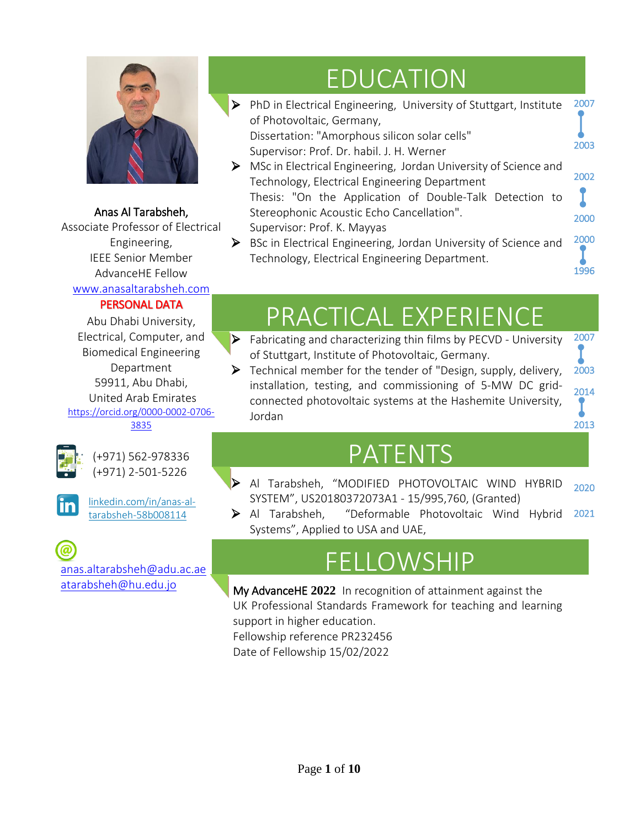

#### Anas Al Tarabsheh,

Associate Professor of Electrical Engineering, IEEE Senior Member AdvanceHE Fellow [www.anasaltarabsheh.com](http://www.anasaltarabsheh.com/) 

#### PERSONAL DATA

Abu Dhabi University, Electrical, Computer, and Biomedical Engineering Department 59911, Abu Dhabi, United Arab Emirates [https://orcid.org/0000-0002-0706-](https://orcid.org/0000-0002-0706-3835) [3835](https://orcid.org/0000-0002-0706-3835)



(+971) 562-978336 (+971) 2-501-5226



[linkedin.com/in/anas-al](https://www.linkedin.com/in/anas-al-tarabsheh-58b008114)[tarabsheh-58b008114](https://www.linkedin.com/in/anas-al-tarabsheh-58b008114)

[anas.altarabsheh@adu.ac.ae](mailto:anas.altarabsheh@adu.ac.ae) [atarabsheh@hu.edu.jo](mailto:youremail@companysite.com)

## EDUCATION

 $\triangleright$  PhD in Electrical Engineering, University of Stuttgart, Institute of Photovoltaic, Germany, Dissertation: "Amorphous silicon solar cells" Supervisor: Prof. Dr. habil. J. H. Werner MSc in Electrical Engineering, Jordan University of Science and Technology, Electrical Engineering Department Thesis: "On the Application of Double-Talk Detection to Stereophonic Acoustic Echo Cancellation". Supervisor: Prof. K. Mayyas ▶ BSc in Electrical Engineering, Jordan University of Science and Technology, Electrical Engineering Department. l 2007 2003 2002 2000 2000

1996

## PRACTICAL EXPERIENCE

- $\triangleright$  Fabricating and characterizing thin films by PECVD University of Stuttgart, Institute of Photovoltaic, Germany. 2007
- Technical member for the tender of "Design, supply, delivery, installation, testing, and commissioning of 5-MW DC gridconnected photovoltaic systems at the Hashemite University, Jordan 2003 2014 <sup>2013</sup>

### PATENTS

- Al Tarabsheh, "MODIFIED PHOTOVOLTAIC WIND HYBRID SYSTEM", US20180372073A1 - 15/995,760, (Granted) I 2020
- Al Tarabsheh, "Deformable Photovoltaic Wind Hybrid Systems", Applied to USA and UAE, <sup>2021</sup>

### FELLOWSHIP

[My AdvanceHE](https://www.advance-he.ac.uk/sites/default/files/2020-09/MyAdvanceHE%20guidance%20-%20Direct%20Fellowship%20submissions%20v2%20Aug%2020.pdf) **2022** In recognition of attainment against the UK Professional Standards Framework for teaching and learning support in higher education.

Fellowship reference PR232456

Date of Fellowship 15/02/2022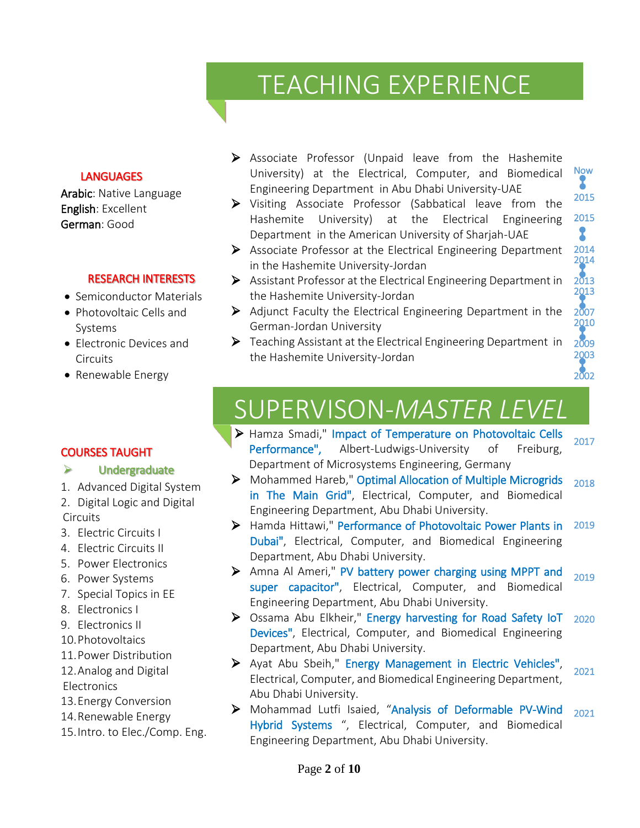## TEACHING EXPERIENCE

#### **LANGUAGES**

Arabic: Native Language English: Excellent German: Good

#### RESEARCH INTERESTS

- Semiconductor Materials
- Photovoltaic Cells and Systems
- Electronic Devices and **Circuits**
- Renewable Energy
- Associate Professor (Unpaid leave from the Hashemite University) at the Electrical, Computer, and Biomedical Engineering Department in Abu Dhabi University-UAE l Now
- 2015 Visiting Associate Professor (Sabbatical leave from the 2015 Hashemite University) at the Electrical Engineering 2 Department in the American University of Sharjah-UAE
- Associate Professor at the Electrical Engineering Department in the Hashemite University-Jordan 2014 2014
- Assistant Professor at the Electrical Engineering Department in the Hashemite University-Jordan

2013 2013

X

2002 j

- $\triangleright$  Adjunct Faculty the Electrical Engineering Department in the German-Jordan University 2007 2010
- $\triangleright$  Teaching Assistant at the Electrical Engineering Department in the Hashemite University-Jordan 2009 2003

## SUPERVISON-*MASTER LEVEL*

- Hamza Smadi," Impact of Temperature on Photovoltaic Cells Performance", Albert-Ludwigs-University of Freiburg, Department of Microsystems Engineering, Germany 2017
- Mohammed Hareb," Optimal Allocation of Multiple Microgrids in The Main Grid", Electrical, Computer, and Biomedical Engineering Department, Abu Dhabi University. 2018
- Hamda Hittawi," Performance of Photovoltaic Power Plants in Dubai", Electrical, Computer, and Biomedical Engineering Department, Abu Dhabi University. 2019
- Amna Al Ameri," PV battery power charging using MPPT and super capacitor", Electrical, Computer, and Biomedical Engineering Department, Abu Dhabi University. 2019
- Ossama Abu Elkheir," Energy harvesting for Road Safety IoT Devices", Electrical, Computer, and Biomedical Engineering Department, Abu Dhabi University. 2020
- Ayat Abu Sbeih," Energy Management in Electric Vehicles", Electrical, Computer, and Biomedical Engineering Department, Abu Dhabi University. 2021
- Mohammad Lutfi Isaied, "Analysis of Deformable PV-Wind Hybrid Systems ", Electrical, Computer, and Biomedical Engineering Department, Abu Dhabi University. 2021

#### COURSES TAUGHT

#### Undergraduate

- 1. Advanced Digital System
- 2. Digital Logic and Digital **Circuits**
- 3. Electric Circuits I
- 4. Electric Circuits II
- 5. Power Electronics
- 6. Power Systems
- 7. Special Topics in EE
- 8. Electronics I
- 9. Electronics II
- 10.Photovoltaics
- 11.Power Distribution
- 12.Analog and Digital
- **Electronics**
- 13.Energy Conversion
- 14.Renewable Energy
- 15.Intro. to Elec./Comp. Eng.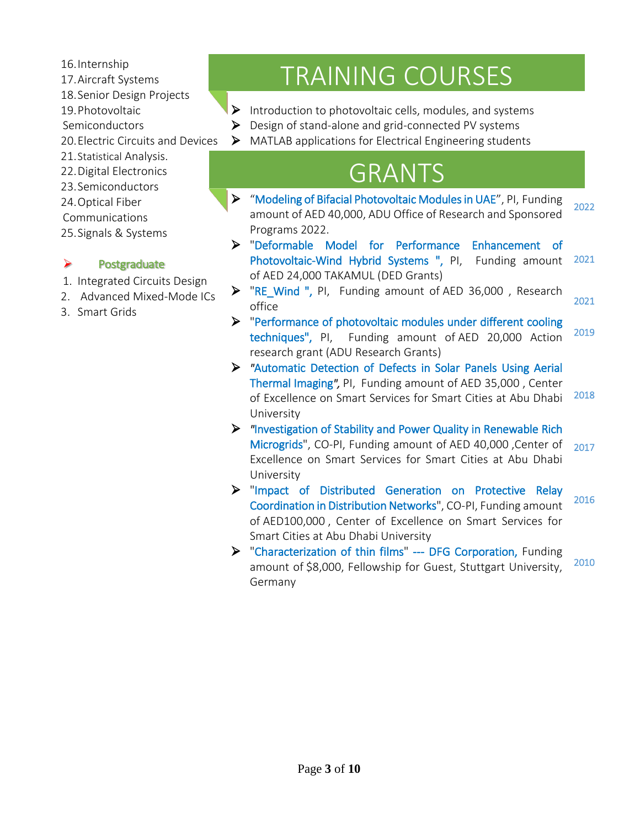- 16.Internship
- 17.Aircraft Systems
- 18.Senior Design Projects
- 19.Photovoltaic
- Semiconductors
- 20.Electric Circuits and Devices
- 21.Statistical Analysis.
- 22.Digital Electronics
- 23.Semiconductors
- 24.Optical Fiber
- Communications
- 25.Signals & Systems

#### $\triangleright$  Postgraduate

- 1. Integrated Circuits Design
- 2. Advanced Mixed-Mode ICs
- 3. Smart Grids

## TRAINING COURSES

- $\triangleright$  Introduction to photovoltaic cells, modules, and systems
- $\triangleright$  Design of stand-alone and grid-connected PV systems
- MATLAB applications for Electrical Engineering students

### GRANTS

- "Modeling of Bifacial Photovoltaic Modules in UAE", PI, Funding amount of AED 40,000, ADU Office of Research and Sponsored Programs 2022. 2022
- "Deformable Model for Performance Enhancement of Photovoltaic-Wind Hybrid Systems ", PI, Funding amount of AED 24,000 TAKAMUL (DED Grants) 2021
- The Wind ", PI, Funding amount of AED 36,000, Research office 2021
- "Performance of photovoltaic modules under different cooling techniques", PI, Funding amount of AED 20,000 Action research grant (ADU Research Grants) 2019
- *"*Automatic Detection of Defects in Solar Panels Using Aerial Thermal Imaging*",* PI, Funding amount of AED 35,000 , Center of Excellence on Smart Services for Smart Cities at Abu Dhabi University 2018
- *"*Investigation of Stability and Power Quality in Renewable Rich Microgrids", CO-PI, Funding amount of AED 40,000 ,Center of Excellence on Smart Services for Smart Cities at Abu Dhabi University 2017 Í
- "Impact of Distributed Generation on Protective Relay Coordination in Distribution Networks", CO-PI, Funding amount of AED100,000 , Center of Excellence on Smart Services for Smart Cities at Abu Dhabi University 2016
- "Characterization of thin films" --- DFG Corporation, Funding amount of \$8,000, Fellowship for Guest, Stuttgart University, Germany 2010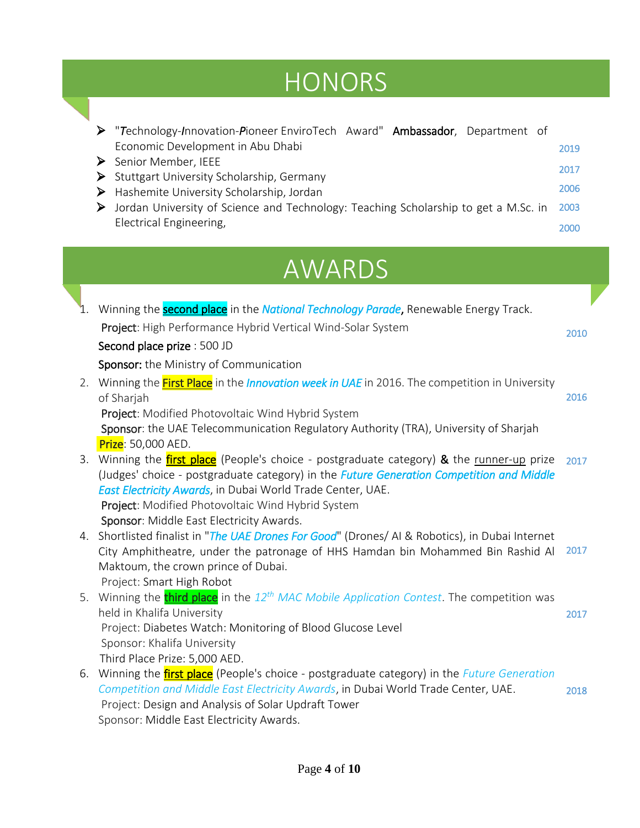# **HONORS**

"*T*echnology-*I*nnovation-*P*ioneer EnviroTech Award" Ambassador, Department of

|               | Economic Development in Abu Dhabi<br>Senior Member, IEEE<br>➤<br>Stuttgart University Scholarship, Germany<br>➤                                                                            | 2019<br>2017<br>2006 |
|---------------|--------------------------------------------------------------------------------------------------------------------------------------------------------------------------------------------|----------------------|
|               | Hashemite University Scholarship, Jordan<br>➤<br>Jordan University of Science and Technology: Teaching Scholarship to get a M.Sc. in<br>➤                                                  | 2003                 |
|               | Electrical Engineering,                                                                                                                                                                    | 2000                 |
| <b>AWARDS</b> |                                                                                                                                                                                            |                      |
|               | Winning the <b>second place</b> in the <b>National Technology Parade</b> , Renewable Energy Track.                                                                                         |                      |
|               | Project: High Performance Hybrid Vertical Wind-Solar System                                                                                                                                | 2010                 |
|               | Second place prize : 500 JD                                                                                                                                                                |                      |
|               | Sponsor: the Ministry of Communication                                                                                                                                                     |                      |
| 2.            | Winning the First Place in the <i>Innovation week in UAE</i> in 2016. The competition in University                                                                                        |                      |
|               | of Sharjah                                                                                                                                                                                 | 2016                 |
|               | Project: Modified Photovoltaic Wind Hybrid System                                                                                                                                          |                      |
|               | Sponsor: the UAE Telecommunication Regulatory Authority (TRA), University of Sharjah                                                                                                       |                      |
|               | Prize: 50,000 AED.                                                                                                                                                                         |                      |
| 3.            | Winning the first place (People's choice - postgraduate category) & the runner-up prize<br>(Judges' choice - postgraduate category) in the <i>Future Generation Competition and Middle</i> | 2017                 |
|               | East Electricity Awards, in Dubai World Trade Center, UAE.                                                                                                                                 |                      |
|               | Project: Modified Photovoltaic Wind Hybrid System                                                                                                                                          |                      |
|               | Sponsor: Middle East Electricity Awards.                                                                                                                                                   |                      |
| 4.            | Shortlisted finalist in "The UAE Drones For Good" (Drones/ AI & Robotics), in Dubai Internet                                                                                               |                      |
|               | City Amphitheatre, under the patronage of HHS Hamdan bin Mohammed Bin Rashid Al                                                                                                            | 2017                 |
|               | Maktoum, the crown prince of Dubai.                                                                                                                                                        |                      |
|               | Project: Smart High Robot<br>5. Winning the <i>third place</i> in the 12 <sup>th</sup> MAC Mobile Application Contest. The competition was                                                 |                      |
|               | held in Khalifa University                                                                                                                                                                 | 2017                 |
|               | Project: Diabetes Watch: Monitoring of Blood Glucose Level                                                                                                                                 |                      |
|               | Sponsor: Khalifa University                                                                                                                                                                |                      |
|               | Third Place Prize: 5,000 AED.                                                                                                                                                              |                      |
| 6.            | Winning the <b>first place</b> (People's choice - postgraduate category) in the <i>Future Generation</i>                                                                                   |                      |
|               | Competition and Middle East Electricity Awards, in Dubai World Trade Center, UAE.                                                                                                          | 2018                 |
|               | Project: Design and Analysis of Solar Updraft Tower<br>Sponsor: Middle East Electricity Awards.                                                                                            |                      |
|               |                                                                                                                                                                                            |                      |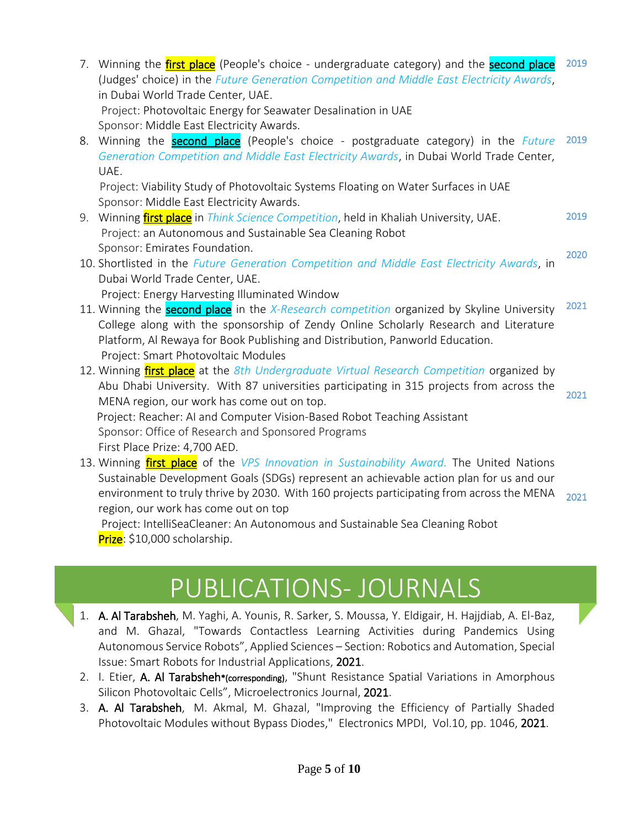- 7. Winning the *first place* (People's choice undergraduate category) and the **second place** (Judges' choice) in the *Future Generation Competition and Middle East Electricity Awards*, in Dubai World Trade Center, UAE. Project: Photovoltaic Energy for Seawater Desalination in UAE Sponsor: Middle East Electricity Awards. 8. Winning the second place (People's choice - postgraduate category) in the *Future Generation Competition and Middle East Electricity Awards*, in Dubai World Trade Center, UAE. Project: Viability Study of Photovoltaic Systems Floating on Water Surfaces in UAE Sponsor: Middle East Electricity Awards. 9. Winning first place in *Think Science Competition*, held in Khaliah University, UAE. Project: an Autonomous and Sustainable Sea Cleaning Robot Sponsor: Emirates Foundation. 10. Shortlisted in the *Future Generation Competition and Middle East Electricity Awards*, in Dubai World Trade Center, UAE. Project: Energy Harvesting Illuminated Window 11. Winning the second place in the *X-Research competition* organized by Skyline University College along with the sponsorship of Zendy Online Scholarly Research and Literature Platform, Al Rewaya for Book Publishing and Distribution, Panworld Education. 2019 2019 2019 2020 2021
	- Project: Smart Photovoltaic Modules
- 12. Winning first place at the *8th Undergraduate Virtual Research Competition* organized by Abu Dhabi University. With 87 universities participating in 315 projects from across the MENA region, our work has come out on top. Project: Reacher: AI and Computer Vision-Based Robot Teaching Assistant Sponsor: Office of Research and Sponsored Programs First Place Prize: 4,700 AED. 2021
- 13. Winning first place of the *VPS Innovation in Sustainability Award.* The United Nations Sustainable Development Goals (SDGs) represent an achievable action plan for us and our environment to truly thrive by 2030. With 160 projects participating from across the MENA region, our work has come out on top Project: IntelliSeaCleaner: An Autonomous and Sustainable Sea Cleaning Robot Prize: \$10,000 scholarship. 2021

### PUBLICATIONS- JOURNALS

l,

- 1. A. Al Tarabsheh, M. Yaghi, A. Younis, R. Sarker, S. Moussa, Y. Eldigair, H. Hajjdiab, A. El-Baz, and M. Ghazal, "Towards Contactless Learning Activities during Pandemics Using Autonomous Service Robots", Applied Sciences – Section[: Robotics and Automation,](https://www.mdpi.com/journal/applsci/sections/robotics_automation) Special Issue: [Smart Robots for Industrial Applications,](https://www.mdpi.com/journal/applsci/special_issues/Smart_Robots) 2021.
- 2. I. Etier, A. Al Tarabsheh\*(corresponding), "Shunt Resistance Spatial Variations in Amorphous Silicon Photovoltaic Cells", Microelectronics Journal, 2021.
- 3. A. Al Tarabsheh, M. Akmal, M. Ghazal, "Improving the Efficiency of Partially Shaded Photovoltaic Modules without Bypass Diodes," Electronics MPDI, Vol.10, pp. 1046, 2021.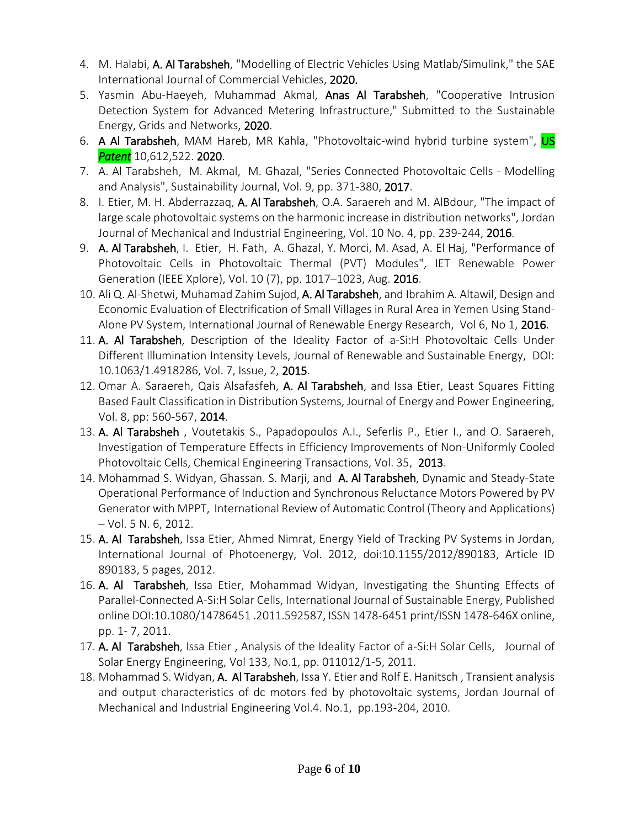- 4. M. Halabi, A. Al Tarabsheh, "Modelling of Electric Vehicles Using Matlab/Simulink," the SAE International Journal of Commercial Vehicles, 2020.
- 5. Yasmin Abu-Haeyeh, Muhammad Akmal, Anas Al Tarabsheh, "Cooperative Intrusion Detection System for Advanced Metering Infrastructure," Submitted to the Sustainable Energy, Grids and Networks, 2020.
- 6. A Al Tarabsheh, MAM Hareb, MR Kahla, "Photovoltaic-wind hybrid turbine system", US *Patent* 10,612,522. 2020.
- 7. A. Al Tarabsheh, M. Akmal, M. Ghazal, "Series Connected Photovoltaic Cells Modelling and Analysis", Sustainability Journal, Vol. 9, pp. 371-380, 2017.
- 8. I. Etier, M. H. Abderrazzaq, A. Al Tarabsheh, O.A. Saraereh and M. AlBdour, "The impact of large scale photovoltaic systems on the harmonic increase in distribution networks", Jordan Journal of Mechanical and Industrial Engineering, Vol. 10 No. 4, pp. 239-244, 2016.
- 9. A. Al Tarabsheh, I. Etier, H. Fath, A. Ghazal, Y. Morci, M. Asad, A. El Haj, "Performance of Photovoltaic Cells in Photovoltaic Thermal (PVT) Modules", IET Renewable Power Generation (IEEE Xplore), Vol. 10 (7), pp. 1017–1023, Aug. 2016.
- 10. Ali Q. Al-Shetwi, Muhamad Zahim Sujod, A. Al Tarabsheh, and Ibrahim A. Altawil, Design and Economic Evaluation of Electrification of Small Villages in Rural Area in Yemen Using Stand-Alone PV System, International Journal of Renewable Energy Research, Vol 6, No 1, 2016.
- 11. A. Al Tarabsheh, Description of the Ideality Factor of a-Si:H Photovoltaic Cells Under Different Illumination Intensity Levels, Journal of Renewable and Sustainable Energy, DOI: 10.1063/1.4918286, Vol. 7, Issue, 2, 2015.
- 12. Omar A. Saraereh, Qais Alsafasfeh, A. Al Tarabsheh, and Issa Etier, Least Squares Fitting Based Fault Classification in Distribution Systems, Journal of Energy and Power Engineering, Vol. 8, pp: 560-567, 2014.
- 13. A. Al Tarabsheh , Voutetakis S., Papadopoulos A.I., Seferlis P., Etier I., and O. Saraereh, Investigation of Temperature Effects in Efficiency Improvements of Non-Uniformly Cooled Photovoltaic Cells, Chemical Engineering Transactions, Vol. 35, 2013.
- 14. Mohammad S. Widyan, Ghassan. S. Marji, and A. Al Tarabsheh, Dynamic and Steady-State Operational Performance of Induction and Synchronous Reluctance Motors Powered by PV Generator with MPPT, International Review of Automatic Control (Theory and Applications) – Vol. 5 N. 6, 2012.
- 15. A. Al Tarabsheh, Issa Etier, Ahmed Nimrat, Energy Yield of Tracking PV Systems in Jordan, International Journal of Photoenergy, Vol. 2012, doi:10.1155/2012/890183, Article ID 890183, 5 pages, 2012.
- 16. A. Al Tarabsheh, Issa Etier, Mohammad Widyan, Investigating the Shunting Effects of Parallel-Connected A-Si:H Solar Cells, International Journal of Sustainable Energy, Published online DOI:10.1080/14786451 .2011.592587, ISSN 1478-6451 print/ISSN 1478-646X online, pp. 1- 7, 2011.
- 17. A. Al Tarabsheh, Issa Etier, Analysis of the Ideality Factor of a-Si:H Solar Cells, Journal of Solar Energy Engineering, Vol 133, No.1, pp. 011012/1-5, 2011.
- 18. Mohammad S. Widyan, A. Al Tarabsheh, Issa Y. Etier and Rolf E. Hanitsch, Transient analysis and output characteristics of dc motors fed by photovoltaic systems, Jordan Journal of Mechanical and Industrial Engineering Vol.4. No.1, pp.193-204, 2010.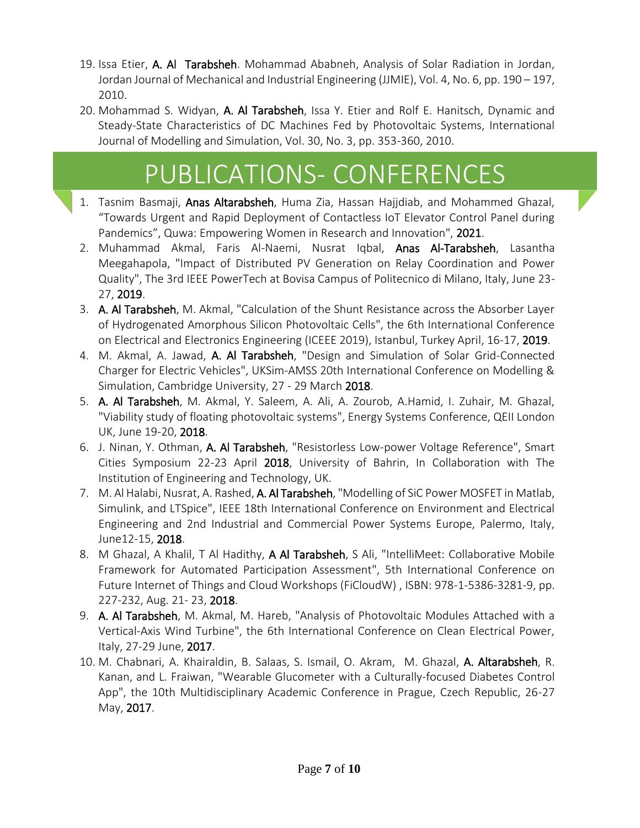- 19. Issa Etier, A. Al Tarabsheh. Mohammad Ababneh, Analysis of Solar Radiation in Jordan, Jordan Journal of Mechanical and Industrial Engineering (JJMIE), Vol. 4, No. 6, pp. 190 – 197, 2010.
- 20. Mohammad S. Widyan, A. Al Tarabsheh, Issa Y. Etier and Rolf E. Hanitsch, Dynamic and Steady-State Characteristics of DC Machines Fed by Photovoltaic Systems, International Journal of Modelling and Simulation, Vol. 30, No. 3, pp. 353-360, 2010.

## PUBLICATIONS- CONFERENCES

j

Ï

- 1. Tasnim Basmaji, Anas Altarabsheh, Huma Zia, Hassan Hajjdiab, and Mohammed Ghazal, "Towards Urgent and Rapid Deployment of Contactless IoT Elevator Control Panel during Pandemics", Quwa: Empowering Women in Research and Innovation", 2021.
- 2. Muhammad Akmal, Faris Al-Naemi, Nusrat Iqbal, Anas Al-Tarabsheh, Lasantha Meegahapola, "Impact of Distributed PV Generation on Relay Coordination and Power Quality", The 3rd IEEE PowerTech at Bovisa Campus of Politecnico di Milano, Italy, June 23- 27, 2019.
- 3. A. Al Tarabsheh, M. Akmal, "Calculation of the Shunt Resistance across the Absorber Layer of Hydrogenated Amorphous Silicon Photovoltaic Cells", the 6th International Conference on Electrical and Electronics Engineering (ICEEE 2019), Istanbul, Turkey April, 16-17, 2019.
- 4. M. Akmal, A. Jawad, A. Al Tarabsheh, "Design and Simulation of Solar Grid-Connected Charger for Electric Vehicles", UKSim-AMSS 20th International Conference on Modelling & Simulation, Cambridge University, 27 - 29 March 2018.
- 5. A. Al Tarabsheh, M. Akmal, Y. Saleem, A. Ali, A. Zourob, A.Hamid, I. Zuhair, M. Ghazal, "Viability study of floating photovoltaic systems", Energy Systems Conference, QEII London UK, June 19-20, 2018.
- 6. J. Ninan, Y. Othman, A. Al Tarabsheh, "Resistorless Low-power Voltage Reference", Smart Cities Symposium 22-23 April 2018, University of Bahrin, In Collaboration with The Institution of Engineering and Technology, UK.
- 7. M. Al Halabi, Nusrat, A. Rashed, A. Al Tarabsheh, "Modelling of SiC Power MOSFET in Matlab, Simulink, and LTSpice", IEEE 18th International Conference on Environment and Electrical Engineering and 2nd Industrial and Commercial Power Systems Europe, Palermo, Italy, June12-15, 2018.
- 8. M Ghazal, A Khalil, T Al Hadithy, A Al Tarabsheh, S Ali, "IntelliMeet: Collaborative Mobile Framework for Automated Participation Assessment", 5th International Conference on Future Internet of Things and Cloud Workshops (FiCloudW) , ISBN: 978-1-5386-3281-9, pp. 227-232, Aug. 21- 23, 2018.
- 9. A. Al Tarabsheh, M. Akmal, M. Hareb, "Analysis of Photovoltaic Modules Attached with a Vertical-Axis Wind Turbine", the 6th International Conference on Clean Electrical Power, Italy, 27-29 June, 2017.
- 10. M. Chabnari, A. Khairaldin, B. Salaas, S. Ismail, O. Akram, M. Ghazal, A. Altarabsheh, R. Kanan, and L. Fraiwan, "Wearable Glucometer with a Culturally-focused Diabetes Control App", the 10th Multidisciplinary Academic Conference in Prague, Czech Republic, 26-27 May, 2017.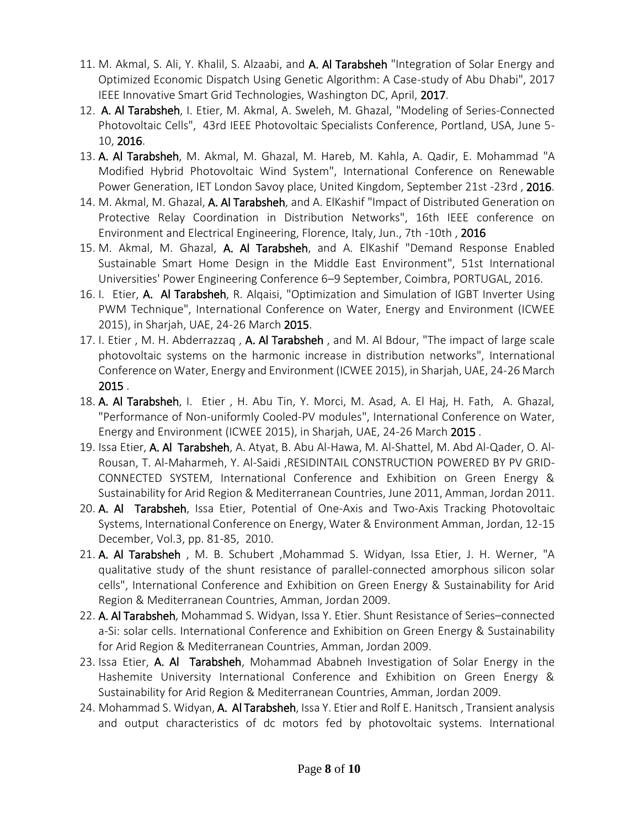- 11. M. Akmal, S. Ali, Y. Khalil, S. Alzaabi, and A. Al Tarabsheh "Integration of Solar Energy and Optimized Economic Dispatch Using Genetic Algorithm: A Case-study of Abu Dhabi", 2017 IEEE Innovative Smart Grid Technologies, Washington DC, April, 2017.
- 12. A. Al Tarabsheh, I. Etier, M. Akmal, A. Sweleh, M. Ghazal, "Modeling of Series-Connected Photovoltaic Cells", 43rd IEEE Photovoltaic Specialists Conference, Portland, USA, June 5- 10, 2016.
- 13. A. Al Tarabsheh, M. Akmal, M. Ghazal, M. Hareb, M. Kahla, A. Qadir, E. Mohammad "A Modified Hybrid Photovoltaic Wind System", International Conference on Renewable Power Generation, IET London Savoy place, United Kingdom, September 21st -23rd, 2016.
- 14. M. Akmal, M. Ghazal, A. Al Tarabsheh, and A. ElKashif "Impact of Distributed Generation on Protective Relay Coordination in Distribution Networks", 16th IEEE conference on Environment and Electrical Engineering, Florence, Italy, Jun., 7th -10th , 2016
- 15. M. Akmal, M. Ghazal, A. Al Tarabsheh, and A. ElKashif "Demand Response Enabled Sustainable Smart Home Design in the Middle East Environment", 51st International Universities' Power Engineering Conference 6–9 September, Coimbra, PORTUGAL, 2016.
- 16. I. Etier, A. Al Tarabsheh, R. Algaisi, "Optimization and Simulation of IGBT Inverter Using PWM Technique", International Conference on Water, Energy and Environment (ICWEE 2015), in Sharjah, UAE, 24-26 March 2015.
- 17. I. Etier, M. H. Abderrazzag, A. Al Tarabsheh, and M. Al Bdour, "The impact of large scale photovoltaic systems on the harmonic increase in distribution networks", International Conference on Water, Energy and Environment (ICWEE 2015), in Sharjah, UAE, 24-26 March 2015 .
- 18. A. Al Tarabsheh, I. Etier , H. Abu Tin, Y. Morci, M. Asad, A. El Haj, H. Fath, A. Ghazal, "Performance of Non-uniformly Cooled-PV modules", International Conference on Water, Energy and Environment (ICWEE 2015), in Sharjah, UAE, 24-26 March 2015 .
- 19. Issa Etier, A. Al Tarabsheh, A. Atyat, B. Abu Al-Hawa, M. Al-Shattel, M. Abd Al-Qader, O. Al-Rousan, T. Al-Maharmeh, Y. Al-Saidi ,RESIDINTAIL CONSTRUCTION POWERED BY PV GRID-CONNECTED SYSTEM, International Conference and Exhibition on Green Energy & Sustainability for Arid Region & Mediterranean Countries, June 2011, Amman, Jordan 2011.
- 20. A. Al Tarabsheh, Issa Etier, Potential of One-Axis and Two-Axis Tracking Photovoltaic Systems, International Conference on Energy, Water & Environment Amman, Jordan, 12-15 December, Vol.3, pp. 81-85, 2010.
- 21. A. Al Tarabsheh , M. B. Schubert ,Mohammad S. Widyan, Issa Etier, J. H. Werner, "A qualitative study of the shunt resistance of parallel-connected amorphous silicon solar cells", International Conference and Exhibition on Green Energy & Sustainability for Arid Region & Mediterranean Countries, Amman, Jordan 2009.
- 22. A. Al Tarabsheh, Mohammad S. Widyan, Issa Y. Etier. Shunt Resistance of Series–connected a-Si: solar cells. International Conference and Exhibition on Green Energy & Sustainability for Arid Region & Mediterranean Countries, Amman, Jordan 2009.
- 23. Issa Etier, A. Al Tarabsheh, Mohammad Ababneh Investigation of Solar Energy in the Hashemite University International Conference and Exhibition on Green Energy & Sustainability for Arid Region & Mediterranean Countries, Amman, Jordan 2009.
- 24. Mohammad S. Widyan, A. Al Tarabsheh, Issa Y. Etier and Rolf E. Hanitsch, Transient analysis and output characteristics of dc motors fed by photovoltaic systems. International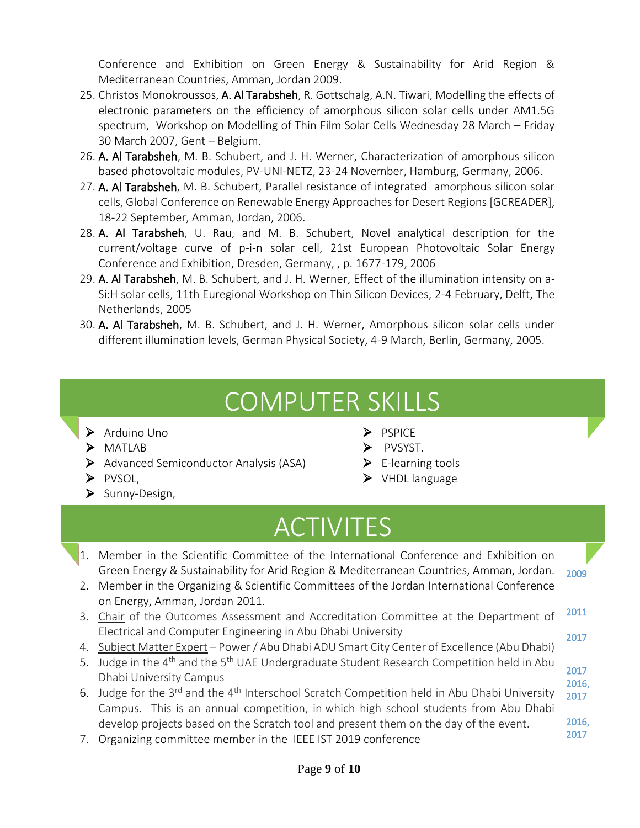Conference and Exhibition on Green Energy & Sustainability for Arid Region & Mediterranean Countries, Amman, Jordan 2009.

- 25. Christos Monokroussos, A. Al Tarabsheh, R. Gottschalg, A.N. Tiwari, Modelling the effects of electronic parameters on the efficiency of amorphous silicon solar cells under AM1.5G spectrum, Workshop on Modelling of Thin Film Solar Cells Wednesday 28 March – Friday 30 March 2007, Gent – Belgium.
- 26. A. Al Tarabsheh, M. B. Schubert, and J. H. Werner, Characterization of amorphous silicon based photovoltaic modules, PV-UNI-NETZ, 23-24 November, Hamburg, Germany, 2006.
- 27. A. Al Tarabsheh, M. B. Schubert, Parallel resistance of integrated amorphous silicon solar cells, Global Conference on Renewable Energy Approaches for Desert Regions [GCREADER], 18-22 September, Amman, Jordan, 2006.
- 28. A. Al Tarabsheh, U. Rau, and M. B. Schubert, Novel analytical description for the current/voltage curve of p-i-n solar cell, 21st European Photovoltaic Solar Energy Conference and Exhibition, Dresden, Germany, , p. 1677-179, 2006
- 29. A. Al Tarabsheh, M. B. Schubert, and J. H. Werner, Effect of the illumination intensity on a-Si:H solar cells, 11th Euregional Workshop on Thin Silicon Devices, 2-4 February, Delft, The Netherlands, 2005
- 30. A. Al Tarabsheh, M. B. Schubert, and J. H. Werner, Amorphous silicon solar cells under different illumination levels, German Physical Society, 4-9 March, Berlin, Germany, 2005.

### COMPUTER SKILLS

- $\triangleright$  Arduino Uno
- > MATLAB
- $\triangleright$  Advanced Semiconductor Analysis (ASA)
- $\triangleright$  PVSOL,
- $\triangleright$  Sunny-Design,
- $\triangleright$  PSPICE
- $\triangleright$  PVSYST.
- $\blacktriangleright$  E-learning tools
- ▶ VHDL language

i

Ī

## ACTIVITES

1. Member in the Scientific Committee of the International Conference and Exhibition on Green Energy & Sustainability for Arid Region & Mediterranean Countries, Amman, Jordan. 2. Member in the Organizing & Scientific Committees of the Jordan International Conference on Energy, Amman, Jordan 2011. 3. Chair of the Outcomes Assessment and Accreditation Committee at the Department of Electrical and Computer Engineering in Abu Dhabi University 4. Subject Matter Expert – Power / Abu Dhabi ADU Smart City Center of Excellence (Abu Dhabi) 5. Judge in the  $4<sup>th</sup>$  and the  $5<sup>th</sup>$  UAE Undergraduate Student Research Competition held in Abu Dhabi University Campus 6. Judge for the 3<sup>rd</sup> and the 4<sup>th</sup> Interschool Scratch Competition held in Abu Dhabi University Campus. This is an annual competition, in which high school students from Abu Dhabi develop projects based on the Scratch tool and present them on the day of the event. 7. Organizing committee member in the IEEE IST 2019 conference 2009 2011 2017 2017 2016, 2017 2016, 2017